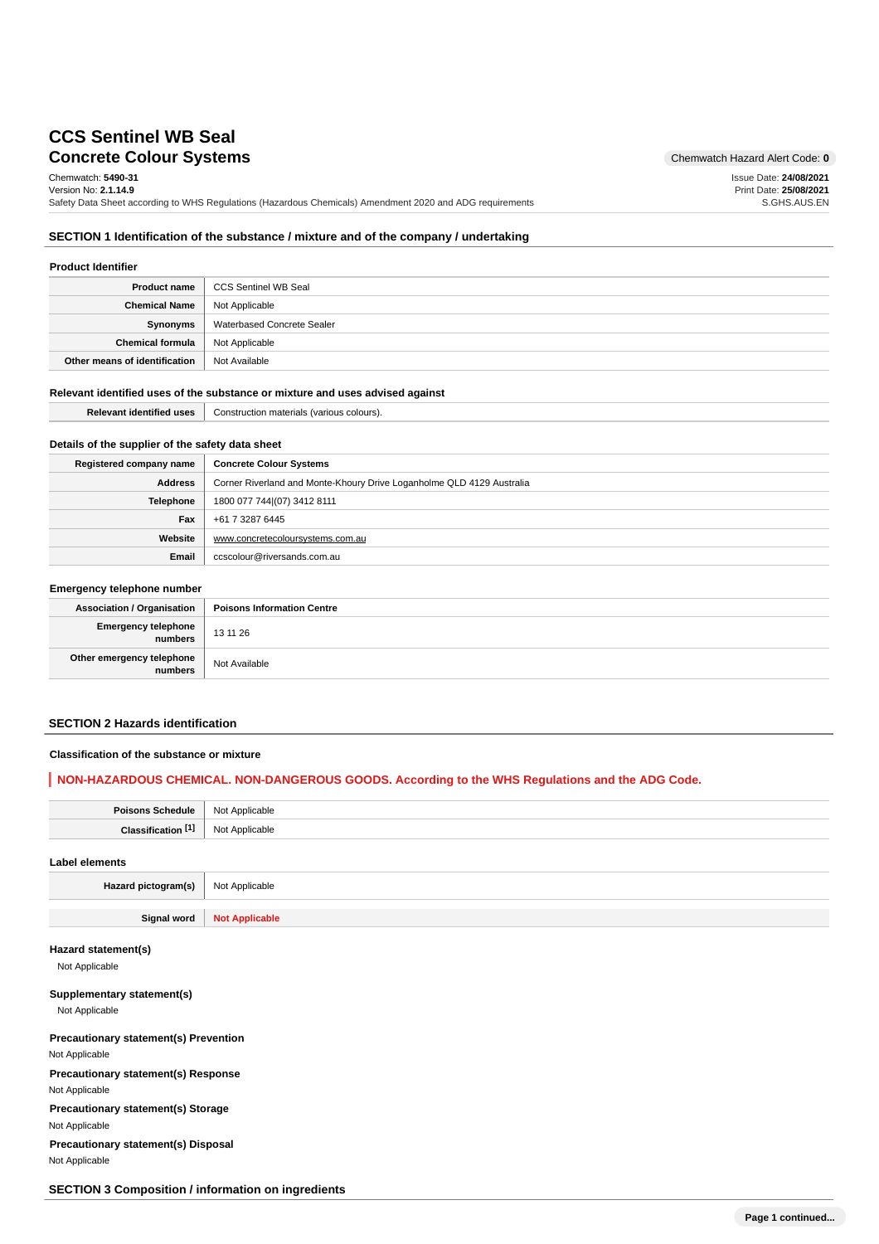# **Concrete Colour Systems** Chemwatch Hazard Alert Code: 0 **CCS Sentinel WB Seal**

Chemwatch: **5490-31** Version No: **2.1.14.9**

Safety Data Sheet according to WHS Regulations (Hazardous Chemicals) Amendment 2020 and ADG requirements

Issue Date: **24/08/2021** Print Date: **25/08/2021** S.GHS.AUS.EN

### **SECTION 1 Identification of the substance / mixture and of the company / undertaking**

#### **Product Identifier**

| <b>Product name</b>           | CCS Sentinel WB Seal       |
|-------------------------------|----------------------------|
| <b>Chemical Name</b>          | Not Applicable             |
| Synonyms                      | Waterbased Concrete Sealer |
| <b>Chemical formula</b>       | Not Applicable             |
| Other means of identification | Not Available              |

### **Relevant identified uses of the substance or mixture and uses advised against**

| <b>Relevant identified uses</b> | Construction materials (various colours). |
|---------------------------------|-------------------------------------------|
|---------------------------------|-------------------------------------------|

### **Details of the supplier of the safety data sheet**

| Registered company name | <b>Concrete Colour Systems</b>                                        |  |  |
|-------------------------|-----------------------------------------------------------------------|--|--|
| Address                 | Corner Riverland and Monte-Khoury Drive Loganholme QLD 4129 Australia |  |  |
| <b>Telephone</b>        | 1800 077 744 (07) 3412 8111                                           |  |  |
| Fax                     | +61 7 3287 6445                                                       |  |  |
| Website                 | www.concretecoloursystems.com.au                                      |  |  |
| Email                   | ccscolour@riversands.com.au                                           |  |  |

#### **Emergency telephone number**

| .                                      |                                   |  |
|----------------------------------------|-----------------------------------|--|
| <b>Association / Organisation</b>      | <b>Poisons Information Centre</b> |  |
| Emergency telephone<br>  numbers       | 13 11 26                          |  |
| Other emergency telephone<br>  numbers | Not Available                     |  |

### **SECTION 2 Hazards identification**

#### **Classification of the substance or mixture**

### **NON-HAZARDOUS CHEMICAL. NON-DANGEROUS GOODS. According to the WHS Regulations and the ADG Code.**

| <b>Poisons Schedule</b> | Not Applicable                          |
|-------------------------|-----------------------------------------|
| Classification          | Not<br>Annlicable<br>ıvauı <del>c</del> |
|                         |                                         |

## **Label elements**

**Hazard pictogram(s)** Not Applicable **Signal word Not Applicable**

#### **Hazard statement(s)**

Not Applicable

### **Supplementary statement(s)**

Not Applicable

**Precautionary statement(s) Prevention** Not Applicable **Precautionary statement(s) Response** Not Applicable **Precautionary statement(s) Storage** Not Applicable

**Precautionary statement(s) Disposal** Not Applicable

## **SECTION 3 Composition / information on ingredients**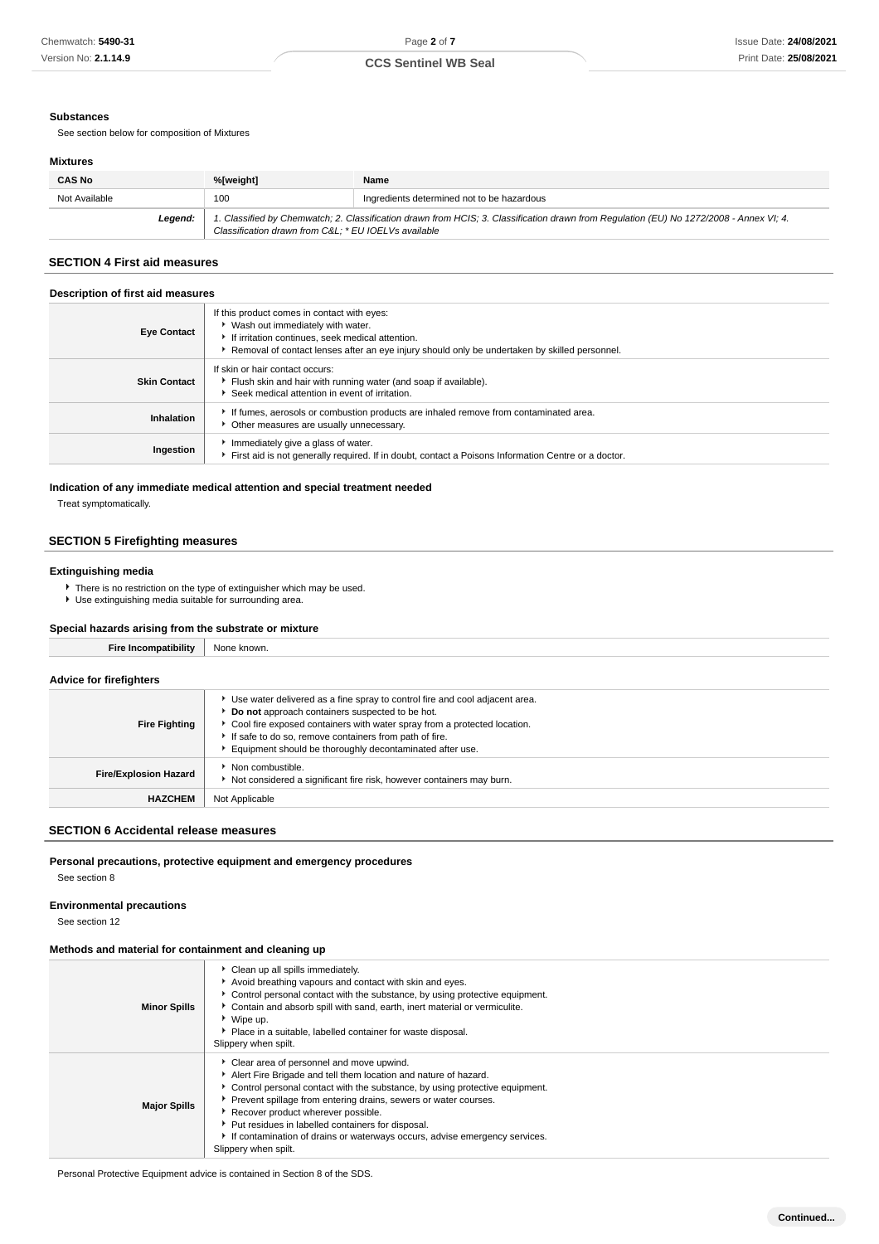#### **Substances**

See section below for composition of Mixtures

### **Mixtures**

| <b>CAS No</b> | %[weight]                                                                                                                                                                                      | Name                                       |  |
|---------------|------------------------------------------------------------------------------------------------------------------------------------------------------------------------------------------------|--------------------------------------------|--|
| Not Available | 100                                                                                                                                                                                            | Ingredients determined not to be hazardous |  |
| Leaend:       | 1. Classified by Chemwatch; 2. Classification drawn from HCIS; 3. Classification drawn from Regulation (EU) No 1272/2008 - Annex VI; 4.<br>Classification drawn from C&L * EU IOELVs available |                                            |  |

## **SECTION 4 First aid measures**

| Description of first aid measures |                                                                                                                                                                                                                                        |  |  |
|-----------------------------------|----------------------------------------------------------------------------------------------------------------------------------------------------------------------------------------------------------------------------------------|--|--|
| <b>Eye Contact</b>                | If this product comes in contact with eyes:<br>▶ Wash out immediately with water.<br>If irritation continues, seek medical attention.<br>Removal of contact lenses after an eye injury should only be undertaken by skilled personnel. |  |  |
| <b>Skin Contact</b>               | If skin or hair contact occurs:<br>Flush skin and hair with running water (and soap if available).<br>Seek medical attention in event of irritation.                                                                                   |  |  |
| Inhalation                        | If fumes, aerosols or combustion products are inhaled remove from contaminated area.<br>• Other measures are usually unnecessary.                                                                                                      |  |  |
| Ingestion                         | Immediately give a glass of water.<br>First aid is not generally required. If in doubt, contact a Poisons Information Centre or a doctor.                                                                                              |  |  |

### **Indication of any immediate medical attention and special treatment needed**

Treat symptomatically.

## **SECTION 5 Firefighting measures**

### **Extinguishing media**

- ▶ There is no restriction on the type of extinguisher which may be used.
- ► Use extinguishing media suitable for surrounding area.

### **Special hazards arising from the substrate or mixture**

| <b>Fire Incompatibility</b>    | None known.                                                                                                                                                                                                                                                                                                                      |
|--------------------------------|----------------------------------------------------------------------------------------------------------------------------------------------------------------------------------------------------------------------------------------------------------------------------------------------------------------------------------|
| <b>Advice for firefighters</b> |                                                                                                                                                                                                                                                                                                                                  |
| <b>Fire Fighting</b>           | Use water delivered as a fine spray to control fire and cool adjacent area.<br>Do not approach containers suspected to be hot.<br>Cool fire exposed containers with water spray from a protected location.<br>If safe to do so, remove containers from path of fire.<br>Equipment should be thoroughly decontaminated after use. |
| <b>Fire/Explosion Hazard</b>   | • Non combustible.<br>Not considered a significant fire risk, however containers may burn.                                                                                                                                                                                                                                       |
| <b>HAZCHEM</b>                 | Not Applicable                                                                                                                                                                                                                                                                                                                   |

## **SECTION 6 Accidental release measures**

### **Personal precautions, protective equipment and emergency procedures**

See section 8

### **Environmental precautions**

See section 12

### **Methods and material for containment and cleaning up**

| <b>Minor Spills</b> | Clean up all spills immediately.<br>Avoid breathing vapours and contact with skin and eyes.<br>• Control personal contact with the substance, by using protective equipment.<br>Contain and absorb spill with sand, earth, inert material or vermiculite.<br>▶ Wipe up.<br>▶ Place in a suitable, labelled container for waste disposal.<br>Slippery when spilt.                                                                                                   |
|---------------------|--------------------------------------------------------------------------------------------------------------------------------------------------------------------------------------------------------------------------------------------------------------------------------------------------------------------------------------------------------------------------------------------------------------------------------------------------------------------|
| <b>Major Spills</b> | Clear area of personnel and move upwind.<br>Alert Fire Brigade and tell them location and nature of hazard.<br>► Control personal contact with the substance, by using protective equipment.<br>Prevent spillage from entering drains, sewers or water courses.<br>Recover product wherever possible.<br>▶ Put residues in labelled containers for disposal.<br>If contamination of drains or waterways occurs, advise emergency services.<br>Slippery when spilt. |

Personal Protective Equipment advice is contained in Section 8 of the SDS.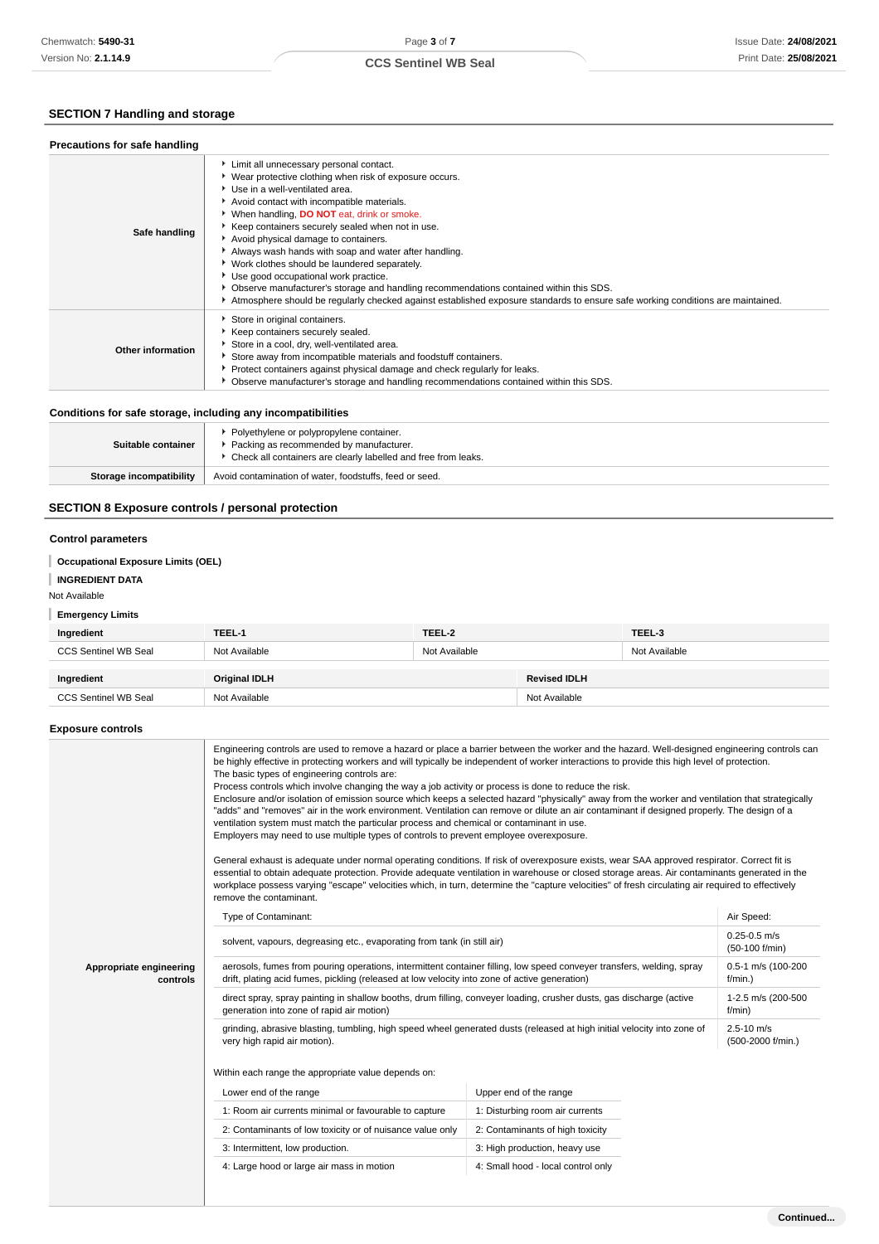## **CCS Sentinel WB Seal**

## **SECTION 7 Handling and storage**

| Precautions for safe handling |                                                                                                                                                                                                                                                                                                                                                                                                                                                                                                                                                                                                                                                                                                                   |
|-------------------------------|-------------------------------------------------------------------------------------------------------------------------------------------------------------------------------------------------------------------------------------------------------------------------------------------------------------------------------------------------------------------------------------------------------------------------------------------------------------------------------------------------------------------------------------------------------------------------------------------------------------------------------------------------------------------------------------------------------------------|
| Safe handling                 | Limit all unnecessary personal contact.<br>▶ Wear protective clothing when risk of exposure occurs.<br>Use in a well-ventilated area.<br>Avoid contact with incompatible materials.<br>▶ When handling, DO NOT eat, drink or smoke.<br>Keep containers securely sealed when not in use.<br>Avoid physical damage to containers.<br>Always wash hands with soap and water after handling.<br>▶ Work clothes should be laundered separately.<br>Use good occupational work practice.<br>▶ Observe manufacturer's storage and handling recommendations contained within this SDS.<br>Atmosphere should be regularly checked against established exposure standards to ensure safe working conditions are maintained. |
| Other information             | Store in original containers.<br>▶ Keep containers securely sealed.<br>Store in a cool, dry, well-ventilated area.<br>Store away from incompatible materials and foodstuff containers.<br>▶ Protect containers against physical damage and check regularly for leaks.<br>• Observe manufacturer's storage and handling recommendations contained within this SDS.                                                                                                                                                                                                                                                                                                                                                 |

## **Conditions for safe storage, including any incompatibilities**

| Suitable container      | ▶ Polyethylene or polypropylene container.<br>Packing as recommended by manufacturer.<br>• Check all containers are clearly labelled and free from leaks. |  |
|-------------------------|-----------------------------------------------------------------------------------------------------------------------------------------------------------|--|
| Storage incompatibility | Avoid contamination of water, foodstuffs, feed or seed.                                                                                                   |  |

## **SECTION 8 Exposure controls / personal protection**

### **Control parameters**

## **Occupational Exposure Limits (OEL)**

### **INGREDIENT DATA**

### Not Available

## **Emergency Limits**

| Ingredient           | TEEL-1               | TEEL-2        |                     | TEEL-3        |
|----------------------|----------------------|---------------|---------------------|---------------|
| CCS Sentinel WB Seal | Not Available        | Not Available |                     | Not Available |
|                      |                      |               |                     |               |
| Ingredient           | <b>Original IDLH</b> |               | <b>Revised IDLH</b> |               |
| CCS Sentinel WB Seal | Not Available        |               | Not Available       |               |

### **Exposure controls**

|                                     | Engineering controls are used to remove a hazard or place a barrier between the worker and the hazard. Well-designed engineering controls can<br>be highly effective in protecting workers and will typically be independent of worker interactions to provide this high level of protection.<br>The basic types of engineering controls are:<br>Process controls which involve changing the way a job activity or process is done to reduce the risk.<br>Enclosure and/or isolation of emission source which keeps a selected hazard "physically" away from the worker and ventilation that strategically<br>"adds" and "removes" air in the work environment. Ventilation can remove or dilute an air contaminant if designed properly. The design of a<br>ventilation system must match the particular process and chemical or contaminant in use.<br>Employers may need to use multiple types of controls to prevent employee overexposure.<br>General exhaust is adequate under normal operating conditions. If risk of overexposure exists, wear SAA approved respirator. Correct fit is<br>essential to obtain adequate protection. Provide adequate ventilation in warehouse or closed storage areas. Air contaminants generated in the<br>workplace possess varying "escape" velocities which, in turn, determine the "capture velocities" of fresh circulating air required to effectively<br>remove the contaminant. |                                    |                                     |
|-------------------------------------|---------------------------------------------------------------------------------------------------------------------------------------------------------------------------------------------------------------------------------------------------------------------------------------------------------------------------------------------------------------------------------------------------------------------------------------------------------------------------------------------------------------------------------------------------------------------------------------------------------------------------------------------------------------------------------------------------------------------------------------------------------------------------------------------------------------------------------------------------------------------------------------------------------------------------------------------------------------------------------------------------------------------------------------------------------------------------------------------------------------------------------------------------------------------------------------------------------------------------------------------------------------------------------------------------------------------------------------------------------------------------------------------------------------------------------|------------------------------------|-------------------------------------|
|                                     | Type of Contaminant:                                                                                                                                                                                                                                                                                                                                                                                                                                                                                                                                                                                                                                                                                                                                                                                                                                                                                                                                                                                                                                                                                                                                                                                                                                                                                                                                                                                                            |                                    | Air Speed:                          |
|                                     | solvent, vapours, degreasing etc., evaporating from tank (in still air)                                                                                                                                                                                                                                                                                                                                                                                                                                                                                                                                                                                                                                                                                                                                                                                                                                                                                                                                                                                                                                                                                                                                                                                                                                                                                                                                                         |                                    | $0.25 - 0.5$ m/s<br>(50-100 f/min)  |
| Appropriate engineering<br>controls | aerosols, fumes from pouring operations, intermittent container filling, low speed conveyer transfers, welding, spray<br>drift, plating acid fumes, pickling (released at low velocity into zone of active generation)                                                                                                                                                                                                                                                                                                                                                                                                                                                                                                                                                                                                                                                                                                                                                                                                                                                                                                                                                                                                                                                                                                                                                                                                          |                                    | 0.5-1 m/s (100-200<br>$f/min.$ )    |
|                                     | direct spray, spray painting in shallow booths, drum filling, conveyer loading, crusher dusts, gas discharge (active<br>generation into zone of rapid air motion)                                                                                                                                                                                                                                                                                                                                                                                                                                                                                                                                                                                                                                                                                                                                                                                                                                                                                                                                                                                                                                                                                                                                                                                                                                                               |                                    | 1-2.5 m/s (200-500<br>f/min)        |
|                                     | grinding, abrasive blasting, tumbling, high speed wheel generated dusts (released at high initial velocity into zone of<br>very high rapid air motion).                                                                                                                                                                                                                                                                                                                                                                                                                                                                                                                                                                                                                                                                                                                                                                                                                                                                                                                                                                                                                                                                                                                                                                                                                                                                         |                                    | $2.5 - 10$ m/s<br>(500-2000 f/min.) |
|                                     | Within each range the appropriate value depends on:                                                                                                                                                                                                                                                                                                                                                                                                                                                                                                                                                                                                                                                                                                                                                                                                                                                                                                                                                                                                                                                                                                                                                                                                                                                                                                                                                                             |                                    |                                     |
|                                     | Lower end of the range                                                                                                                                                                                                                                                                                                                                                                                                                                                                                                                                                                                                                                                                                                                                                                                                                                                                                                                                                                                                                                                                                                                                                                                                                                                                                                                                                                                                          | Upper end of the range             |                                     |
|                                     | 1: Room air currents minimal or favourable to capture                                                                                                                                                                                                                                                                                                                                                                                                                                                                                                                                                                                                                                                                                                                                                                                                                                                                                                                                                                                                                                                                                                                                                                                                                                                                                                                                                                           | 1: Disturbing room air currents    |                                     |
|                                     | 2: Contaminants of low toxicity or of nuisance value only                                                                                                                                                                                                                                                                                                                                                                                                                                                                                                                                                                                                                                                                                                                                                                                                                                                                                                                                                                                                                                                                                                                                                                                                                                                                                                                                                                       | 2: Contaminants of high toxicity   |                                     |
|                                     | 3: Intermittent, low production.                                                                                                                                                                                                                                                                                                                                                                                                                                                                                                                                                                                                                                                                                                                                                                                                                                                                                                                                                                                                                                                                                                                                                                                                                                                                                                                                                                                                | 3: High production, heavy use      |                                     |
|                                     | 4: Large hood or large air mass in motion                                                                                                                                                                                                                                                                                                                                                                                                                                                                                                                                                                                                                                                                                                                                                                                                                                                                                                                                                                                                                                                                                                                                                                                                                                                                                                                                                                                       | 4: Small hood - local control only |                                     |
|                                     |                                                                                                                                                                                                                                                                                                                                                                                                                                                                                                                                                                                                                                                                                                                                                                                                                                                                                                                                                                                                                                                                                                                                                                                                                                                                                                                                                                                                                                 |                                    |                                     |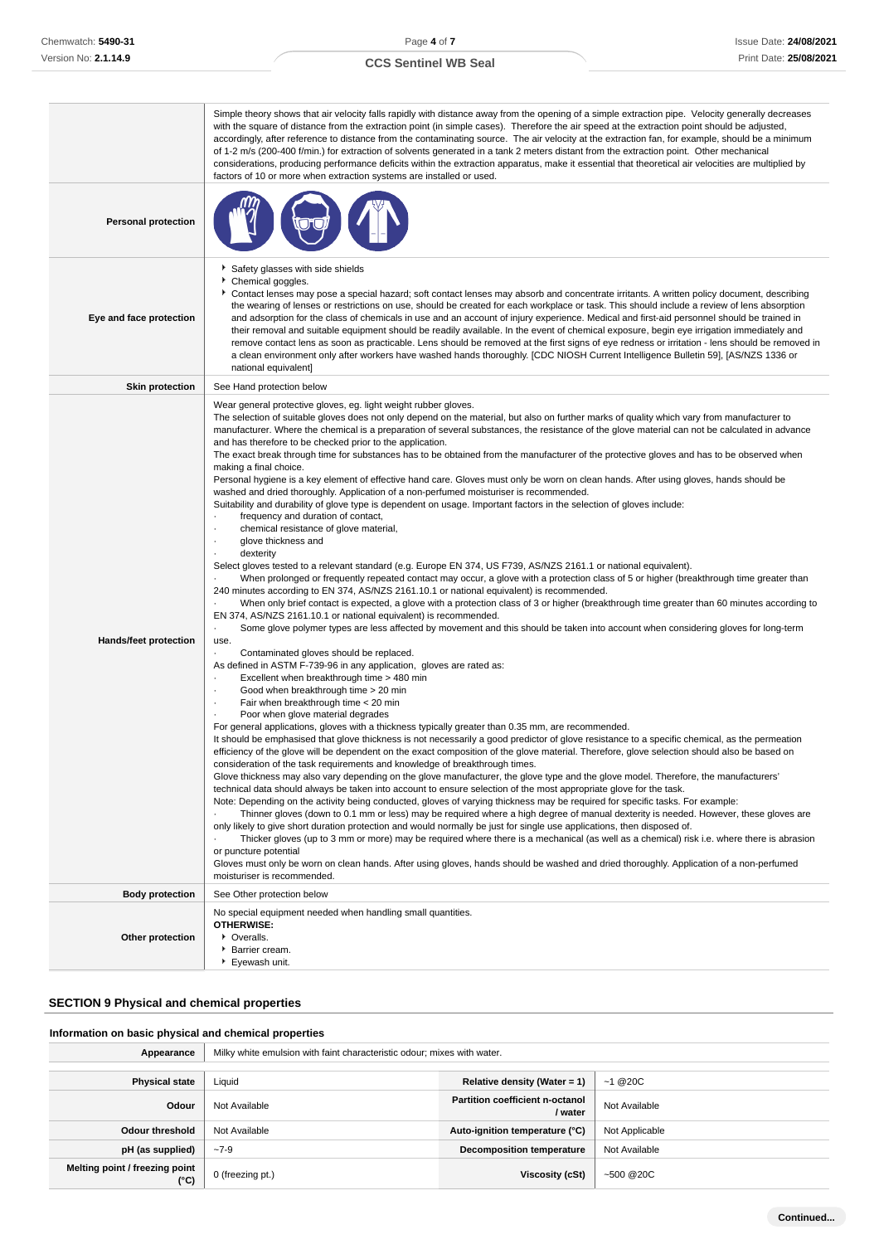|  | <b>CCS Sentinel WB Seal</b> |  |  |
|--|-----------------------------|--|--|
|--|-----------------------------|--|--|

|                              | Simple theory shows that air velocity falls rapidly with distance away from the opening of a simple extraction pipe. Velocity generally decreases<br>with the square of distance from the extraction point (in simple cases). Therefore the air speed at the extraction point should be adjusted,<br>accordingly, after reference to distance from the contaminating source. The air velocity at the extraction fan, for example, should be a minimum<br>of 1-2 m/s (200-400 f/min.) for extraction of solvents generated in a tank 2 meters distant from the extraction point. Other mechanical<br>considerations, producing performance deficits within the extraction apparatus, make it essential that theoretical air velocities are multiplied by<br>factors of 10 or more when extraction systems are installed or used.                                                                                                                                                                                                                                                                                                                                                                                                                                                                                                                                                                                                                                                                                                                                                                                                                                                                                                                                                                                                                                                                                                                                                                                                                                                                                                                                                                                                                                                                                                                                                                                                                                                                                                                                                                                                                                                                                                                                                                                                                                                                                                                                                                                                                                                                                                                                                                                                                                                                                                                                                                                                                                                                                                                                                                                   |
|------------------------------|-------------------------------------------------------------------------------------------------------------------------------------------------------------------------------------------------------------------------------------------------------------------------------------------------------------------------------------------------------------------------------------------------------------------------------------------------------------------------------------------------------------------------------------------------------------------------------------------------------------------------------------------------------------------------------------------------------------------------------------------------------------------------------------------------------------------------------------------------------------------------------------------------------------------------------------------------------------------------------------------------------------------------------------------------------------------------------------------------------------------------------------------------------------------------------------------------------------------------------------------------------------------------------------------------------------------------------------------------------------------------------------------------------------------------------------------------------------------------------------------------------------------------------------------------------------------------------------------------------------------------------------------------------------------------------------------------------------------------------------------------------------------------------------------------------------------------------------------------------------------------------------------------------------------------------------------------------------------------------------------------------------------------------------------------------------------------------------------------------------------------------------------------------------------------------------------------------------------------------------------------------------------------------------------------------------------------------------------------------------------------------------------------------------------------------------------------------------------------------------------------------------------------------------------------------------------------------------------------------------------------------------------------------------------------------------------------------------------------------------------------------------------------------------------------------------------------------------------------------------------------------------------------------------------------------------------------------------------------------------------------------------------------------------------------------------------------------------------------------------------------------------------------------------------------------------------------------------------------------------------------------------------------------------------------------------------------------------------------------------------------------------------------------------------------------------------------------------------------------------------------------------------------------------------------------------------------------------------------------------------|
| <b>Personal protection</b>   |                                                                                                                                                                                                                                                                                                                                                                                                                                                                                                                                                                                                                                                                                                                                                                                                                                                                                                                                                                                                                                                                                                                                                                                                                                                                                                                                                                                                                                                                                                                                                                                                                                                                                                                                                                                                                                                                                                                                                                                                                                                                                                                                                                                                                                                                                                                                                                                                                                                                                                                                                                                                                                                                                                                                                                                                                                                                                                                                                                                                                                                                                                                                                                                                                                                                                                                                                                                                                                                                                                                                                                                                                   |
| Eye and face protection      | Safety glasses with side shields<br>Chemical goggles.<br>Contact lenses may pose a special hazard; soft contact lenses may absorb and concentrate irritants. A written policy document, describing<br>the wearing of lenses or restrictions on use, should be created for each workplace or task. This should include a review of lens absorption<br>and adsorption for the class of chemicals in use and an account of injury experience. Medical and first-aid personnel should be trained in<br>their removal and suitable equipment should be readily available. In the event of chemical exposure, begin eye irrigation immediately and<br>remove contact lens as soon as practicable. Lens should be removed at the first signs of eye redness or irritation - lens should be removed in<br>a clean environment only after workers have washed hands thoroughly. [CDC NIOSH Current Intelligence Bulletin 59], [AS/NZS 1336 or<br>national equivalent]                                                                                                                                                                                                                                                                                                                                                                                                                                                                                                                                                                                                                                                                                                                                                                                                                                                                                                                                                                                                                                                                                                                                                                                                                                                                                                                                                                                                                                                                                                                                                                                                                                                                                                                                                                                                                                                                                                                                                                                                                                                                                                                                                                                                                                                                                                                                                                                                                                                                                                                                                                                                                                                      |
| <b>Skin protection</b>       | See Hand protection below                                                                                                                                                                                                                                                                                                                                                                                                                                                                                                                                                                                                                                                                                                                                                                                                                                                                                                                                                                                                                                                                                                                                                                                                                                                                                                                                                                                                                                                                                                                                                                                                                                                                                                                                                                                                                                                                                                                                                                                                                                                                                                                                                                                                                                                                                                                                                                                                                                                                                                                                                                                                                                                                                                                                                                                                                                                                                                                                                                                                                                                                                                                                                                                                                                                                                                                                                                                                                                                                                                                                                                                         |
| <b>Hands/feet protection</b> | Wear general protective gloves, eg. light weight rubber gloves.<br>The selection of suitable gloves does not only depend on the material, but also on further marks of quality which vary from manufacturer to<br>manufacturer. Where the chemical is a preparation of several substances, the resistance of the glove material can not be calculated in advance<br>and has therefore to be checked prior to the application.<br>The exact break through time for substances has to be obtained from the manufacturer of the protective gloves and has to be observed when<br>making a final choice.<br>Personal hygiene is a key element of effective hand care. Gloves must only be worn on clean hands. After using gloves, hands should be<br>washed and dried thoroughly. Application of a non-perfumed moisturiser is recommended.<br>Suitability and durability of glove type is dependent on usage. Important factors in the selection of gloves include:<br>frequency and duration of contact,<br>chemical resistance of glove material,<br>glove thickness and<br>dexterity<br>Select gloves tested to a relevant standard (e.g. Europe EN 374, US F739, AS/NZS 2161.1 or national equivalent).<br>When prolonged or frequently repeated contact may occur, a glove with a protection class of 5 or higher (breakthrough time greater than<br>240 minutes according to EN 374, AS/NZS 2161.10.1 or national equivalent) is recommended.<br>When only brief contact is expected, a glove with a protection class of 3 or higher (breakthrough time greater than 60 minutes according to<br>EN 374, AS/NZS 2161.10.1 or national equivalent) is recommended.<br>Some glove polymer types are less affected by movement and this should be taken into account when considering gloves for long-term<br>use.<br>Contaminated gloves should be replaced.<br>As defined in ASTM F-739-96 in any application, gloves are rated as:<br>Excellent when breakthrough time > 480 min<br>Good when breakthrough time > 20 min<br>Fair when breakthrough time < 20 min<br>Poor when glove material degrades<br>For general applications, gloves with a thickness typically greater than 0.35 mm, are recommended.<br>It should be emphasised that glove thickness is not necessarily a good predictor of glove resistance to a specific chemical, as the permeation<br>efficiency of the glove will be dependent on the exact composition of the glove material. Therefore, glove selection should also be based on<br>consideration of the task requirements and knowledge of breakthrough times.<br>Glove thickness may also vary depending on the glove manufacturer, the glove type and the glove model. Therefore, the manufacturers'<br>technical data should always be taken into account to ensure selection of the most appropriate glove for the task.<br>Note: Depending on the activity being conducted, gloves of varying thickness may be required for specific tasks. For example:<br>Thinner gloves (down to 0.1 mm or less) may be required where a high degree of manual dexterity is needed. However, these gloves are<br>only likely to give short duration protection and would normally be just for single use applications, then disposed of.<br>Thicker gloves (up to 3 mm or more) may be required where there is a mechanical (as well as a chemical) risk i.e. where there is abrasion<br>or puncture potential<br>Gloves must only be worn on clean hands. After using gloves, hands should be washed and dried thoroughly. Application of a non-perfumed<br>moisturiser is recommended. |
| <b>Body protection</b>       | See Other protection below                                                                                                                                                                                                                                                                                                                                                                                                                                                                                                                                                                                                                                                                                                                                                                                                                                                                                                                                                                                                                                                                                                                                                                                                                                                                                                                                                                                                                                                                                                                                                                                                                                                                                                                                                                                                                                                                                                                                                                                                                                                                                                                                                                                                                                                                                                                                                                                                                                                                                                                                                                                                                                                                                                                                                                                                                                                                                                                                                                                                                                                                                                                                                                                                                                                                                                                                                                                                                                                                                                                                                                                        |
| Other protection             | No special equipment needed when handling small quantities.<br><b>OTHERWISE:</b><br>• Overalls.<br>Barrier cream.<br>Eyewash unit.                                                                                                                                                                                                                                                                                                                                                                                                                                                                                                                                                                                                                                                                                                                                                                                                                                                                                                                                                                                                                                                                                                                                                                                                                                                                                                                                                                                                                                                                                                                                                                                                                                                                                                                                                                                                                                                                                                                                                                                                                                                                                                                                                                                                                                                                                                                                                                                                                                                                                                                                                                                                                                                                                                                                                                                                                                                                                                                                                                                                                                                                                                                                                                                                                                                                                                                                                                                                                                                                                |

## **SECTION 9 Physical and chemical properties**

## **Information on basic physical and chemical properties**

| Appearance                             | Milky white emulsion with faint characteristic odour; mixes with water. |                                                   |                |
|----------------------------------------|-------------------------------------------------------------------------|---------------------------------------------------|----------------|
|                                        |                                                                         |                                                   |                |
| <b>Physical state</b>                  | Liquid                                                                  | Relative density (Water = 1)                      | $~1 \& 200$    |
| Odour                                  | Not Available                                                           | <b>Partition coefficient n-octanol</b><br>/ water | Not Available  |
| <b>Odour threshold</b>                 | Not Available                                                           | Auto-ignition temperature (°C)                    | Not Applicable |
| pH (as supplied)                       | $-7-9$                                                                  | <b>Decomposition temperature</b>                  | Not Available  |
| Melting point / freezing point<br>(°C) | 0 (freezing pt.)                                                        | Viscosity (cSt)                                   | $-500@20C$     |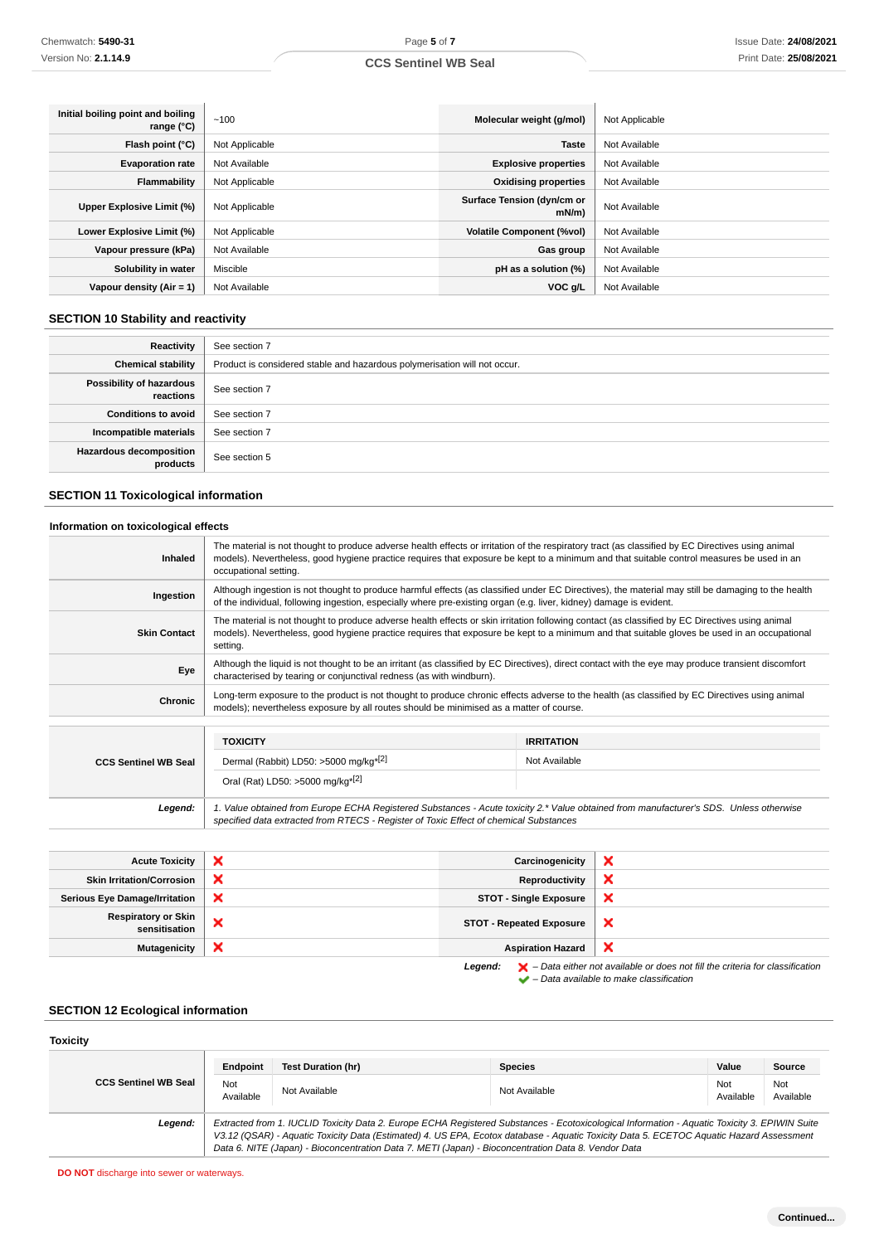## **CCS Sentinel WB Seal**

| Initial boiling point and boiling<br>range (°C) | ~100           | Molecular weight (g/mol)               | Not Applicable |
|-------------------------------------------------|----------------|----------------------------------------|----------------|
| Flash point (°C)                                | Not Applicable | <b>Taste</b>                           | Not Available  |
| <b>Evaporation rate</b>                         | Not Available  | <b>Explosive properties</b>            | Not Available  |
| Flammability                                    | Not Applicable | <b>Oxidising properties</b>            | Not Available  |
| Upper Explosive Limit (%)                       | Not Applicable | Surface Tension (dyn/cm or<br>$mN/m$ ) | Not Available  |
| Lower Explosive Limit (%)                       | Not Applicable | <b>Volatile Component (%vol)</b>       | Not Available  |
| Vapour pressure (kPa)                           | Not Available  | Gas group                              | Not Available  |
| Solubility in water                             | Miscible       | pH as a solution (%)                   | Not Available  |
| Vapour density $(Air = 1)$                      | Not Available  | $VOC$ g/L                              | Not Available  |

## **SECTION 10 Stability and reactivity**

| Reactivity                                 | See section 7                                                             |
|--------------------------------------------|---------------------------------------------------------------------------|
| <b>Chemical stability</b>                  | Product is considered stable and hazardous polymerisation will not occur. |
| Possibility of hazardous<br>reactions      | See section 7                                                             |
| <b>Conditions to avoid</b>                 | See section 7                                                             |
| Incompatible materials                     | See section 7                                                             |
| <b>Hazardous decomposition</b><br>products | See section 5                                                             |

## **SECTION 11 Toxicological information**

### **Information on toxicological effects**

| The material is not thought to produce adverse health effects or irritation of the respiratory tract (as classified by EC Directives using animal<br>models). Nevertheless, good hygiene practice requires that exposure be kept to a minimum and that suitable control measures be used in an<br>Inhaled<br>occupational setting.<br>Although ingestion is not thought to produce harmful effects (as classified under EC Directives), the material may still be damaging to the health<br>Ingestion<br>of the individual, following ingestion, especially where pre-existing organ (e.g. liver, kidney) damage is evident.<br>The material is not thought to produce adverse health effects or skin irritation following contact (as classified by EC Directives using animal<br><b>Skin Contact</b><br>models). Nevertheless, good hygiene practice requires that exposure be kept to a minimum and that suitable gloves be used in an occupational<br>setting.<br>Although the liquid is not thought to be an irritant (as classified by EC Directives), direct contact with the eye may produce transient discomfort<br>Eye<br>characterised by tearing or conjunctival redness (as with windburn).<br>Long-term exposure to the product is not thought to produce chronic effects adverse to the health (as classified by EC Directives using animal<br>Chronic<br>models); nevertheless exposure by all routes should be minimised as a matter of course.<br><b>TOXICITY</b><br><b>IRRITATION</b><br>Dermal (Rabbit) LD50: >5000 mg/kg <sup>*[2]</sup><br>Not Available<br><b>CCS Sentinel WB Seal</b><br>Oral (Rat) LD50: >5000 mg/kg <sup>*[2]</sup><br>1. Value obtained from Europe ECHA Registered Substances - Acute toxicity 2.* Value obtained from manufacturer's SDS. Unless otherwise<br>Legend:<br>specified data extracted from RTECS - Register of Toxic Effect of chemical Substances |  |  |
|-------------------------------------------------------------------------------------------------------------------------------------------------------------------------------------------------------------------------------------------------------------------------------------------------------------------------------------------------------------------------------------------------------------------------------------------------------------------------------------------------------------------------------------------------------------------------------------------------------------------------------------------------------------------------------------------------------------------------------------------------------------------------------------------------------------------------------------------------------------------------------------------------------------------------------------------------------------------------------------------------------------------------------------------------------------------------------------------------------------------------------------------------------------------------------------------------------------------------------------------------------------------------------------------------------------------------------------------------------------------------------------------------------------------------------------------------------------------------------------------------------------------------------------------------------------------------------------------------------------------------------------------------------------------------------------------------------------------------------------------------------------------------------------------------------------------------------------------------------------------------------------------------------------|--|--|
|                                                                                                                                                                                                                                                                                                                                                                                                                                                                                                                                                                                                                                                                                                                                                                                                                                                                                                                                                                                                                                                                                                                                                                                                                                                                                                                                                                                                                                                                                                                                                                                                                                                                                                                                                                                                                                                                                                             |  |  |
|                                                                                                                                                                                                                                                                                                                                                                                                                                                                                                                                                                                                                                                                                                                                                                                                                                                                                                                                                                                                                                                                                                                                                                                                                                                                                                                                                                                                                                                                                                                                                                                                                                                                                                                                                                                                                                                                                                             |  |  |
|                                                                                                                                                                                                                                                                                                                                                                                                                                                                                                                                                                                                                                                                                                                                                                                                                                                                                                                                                                                                                                                                                                                                                                                                                                                                                                                                                                                                                                                                                                                                                                                                                                                                                                                                                                                                                                                                                                             |  |  |
|                                                                                                                                                                                                                                                                                                                                                                                                                                                                                                                                                                                                                                                                                                                                                                                                                                                                                                                                                                                                                                                                                                                                                                                                                                                                                                                                                                                                                                                                                                                                                                                                                                                                                                                                                                                                                                                                                                             |  |  |
|                                                                                                                                                                                                                                                                                                                                                                                                                                                                                                                                                                                                                                                                                                                                                                                                                                                                                                                                                                                                                                                                                                                                                                                                                                                                                                                                                                                                                                                                                                                                                                                                                                                                                                                                                                                                                                                                                                             |  |  |
|                                                                                                                                                                                                                                                                                                                                                                                                                                                                                                                                                                                                                                                                                                                                                                                                                                                                                                                                                                                                                                                                                                                                                                                                                                                                                                                                                                                                                                                                                                                                                                                                                                                                                                                                                                                                                                                                                                             |  |  |
|                                                                                                                                                                                                                                                                                                                                                                                                                                                                                                                                                                                                                                                                                                                                                                                                                                                                                                                                                                                                                                                                                                                                                                                                                                                                                                                                                                                                                                                                                                                                                                                                                                                                                                                                                                                                                                                                                                             |  |  |
|                                                                                                                                                                                                                                                                                                                                                                                                                                                                                                                                                                                                                                                                                                                                                                                                                                                                                                                                                                                                                                                                                                                                                                                                                                                                                                                                                                                                                                                                                                                                                                                                                                                                                                                                                                                                                                                                                                             |  |  |
|                                                                                                                                                                                                                                                                                                                                                                                                                                                                                                                                                                                                                                                                                                                                                                                                                                                                                                                                                                                                                                                                                                                                                                                                                                                                                                                                                                                                                                                                                                                                                                                                                                                                                                                                                                                                                                                                                                             |  |  |
|                                                                                                                                                                                                                                                                                                                                                                                                                                                                                                                                                                                                                                                                                                                                                                                                                                                                                                                                                                                                                                                                                                                                                                                                                                                                                                                                                                                                                                                                                                                                                                                                                                                                                                                                                                                                                                                                                                             |  |  |

| <b>Acute Toxicity</b>                       | × | Carcinogenicity                 | ×                                                                                                                                                                   |
|---------------------------------------------|---|---------------------------------|---------------------------------------------------------------------------------------------------------------------------------------------------------------------|
| <b>Skin Irritation/Corrosion</b>            | × | Reproductivity                  |                                                                                                                                                                     |
| <b>Serious Eye Damage/Irritation</b>        | × | <b>STOT - Single Exposure</b>   | ×                                                                                                                                                                   |
| <b>Respiratory or Skin</b><br>sensitisation | × | <b>STOT - Repeated Exposure</b> | ×                                                                                                                                                                   |
| <b>Mutagenicity</b>                         | × | <b>Aspiration Hazard</b>        | ×                                                                                                                                                                   |
|                                             |   | Legend:                         | $\blacktriangleright$ - Data either not available or does not fill the criteria for classification<br>$\blacktriangleright$ - Data available to make classification |

## **SECTION 12 Ecological information**

### **Toxicity**

|                             | Endpoint                                                                                                                                                                                                                                                                                                                                                                                        | Test Duration (hr) | <b>Species</b> | Value            | Source           |
|-----------------------------|-------------------------------------------------------------------------------------------------------------------------------------------------------------------------------------------------------------------------------------------------------------------------------------------------------------------------------------------------------------------------------------------------|--------------------|----------------|------------------|------------------|
| <b>CCS Sentinel WB Seal</b> | Not<br>Available                                                                                                                                                                                                                                                                                                                                                                                | Not Available      | Not Available  | Not<br>Available | Not<br>Available |
| Legend:                     | Extracted from 1. IUCLID Toxicity Data 2. Europe ECHA Registered Substances - Ecotoxicological Information - Aquatic Toxicity 3. EPIWIN Suite<br>V3.12 (QSAR) - Aquatic Toxicity Data (Estimated) 4. US EPA, Ecotox database - Aquatic Toxicity Data 5. ECETOC Aquatic Hazard Assessment<br>Data 6. NITE (Japan) - Bioconcentration Data 7. METI (Japan) - Bioconcentration Data 8. Vendor Data |                    |                |                  |                  |

**DO NOT** discharge into sewer or waterways.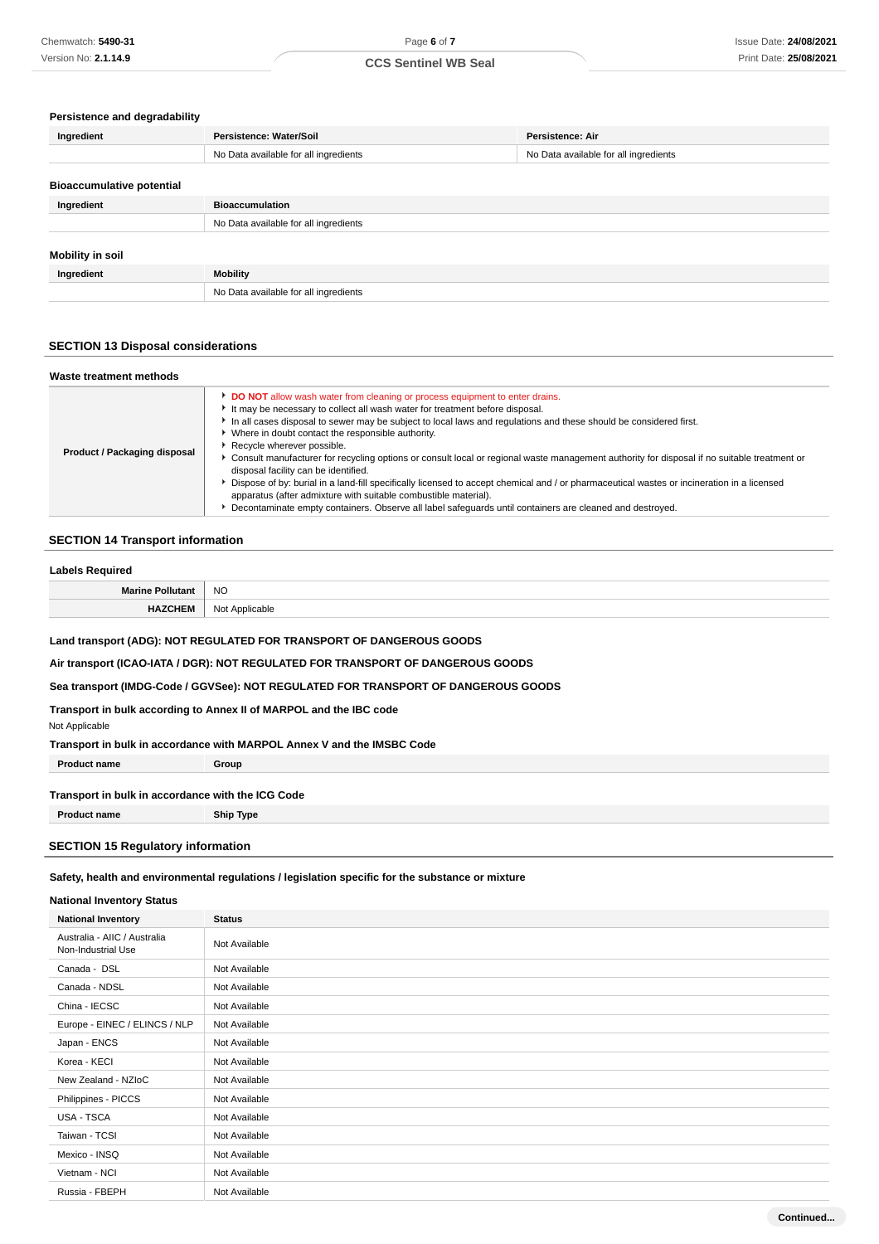#### **Persistence and degradability**

| Ingredient                       | Persistence: Water/Soil               | <b>Persistence: Air</b>               |
|----------------------------------|---------------------------------------|---------------------------------------|
|                                  | No Data available for all ingredients | No Data available for all ingredients |
| <b>Bioaccumulative potential</b> |                                       |                                       |
| Ingredient                       | <b>Bioaccumulation</b>                |                                       |
|                                  | No Data available for all ingredients |                                       |
| <b>Mobility in soil</b>          |                                       |                                       |
| Ingredient                       | Mobility                              |                                       |
|                                  | No Data available for all ingredients |                                       |

### **SECTION 13 Disposal considerations**

| Waste treatment methods      |                                                                                                                                                                                                                                                                                                                                                                                                                                                                                                                                                                                                                                                                                                                                                                                                                                                                                         |
|------------------------------|-----------------------------------------------------------------------------------------------------------------------------------------------------------------------------------------------------------------------------------------------------------------------------------------------------------------------------------------------------------------------------------------------------------------------------------------------------------------------------------------------------------------------------------------------------------------------------------------------------------------------------------------------------------------------------------------------------------------------------------------------------------------------------------------------------------------------------------------------------------------------------------------|
| Product / Packaging disposal | DO NOT allow wash water from cleaning or process equipment to enter drains.<br>It may be necessary to collect all wash water for treatment before disposal.<br>In all cases disposal to sewer may be subject to local laws and regulations and these should be considered first.<br>Where in doubt contact the responsible authority.<br>Recycle wherever possible.<br>Consult manufacturer for recycling options or consult local or regional waste management authority for disposal if no suitable treatment or<br>disposal facility can be identified.<br>bispose of by: burial in a land-fill specifically licensed to accept chemical and / or pharmaceutical wastes or incineration in a licensed<br>apparatus (after admixture with suitable combustible material).<br>Decontaminate empty containers. Observe all label safequards until containers are cleaned and destroyed. |

### **SECTION 14 Transport information**

#### **Labels Required**

| Mа | <b>NO</b>           |
|----|---------------------|
|    | rahle<br>یہ ہ<br>u. |

**Land transport (ADG): NOT REGULATED FOR TRANSPORT OF DANGEROUS GOODS**

**Air transport (ICAO-IATA / DGR): NOT REGULATED FOR TRANSPORT OF DANGEROUS GOODS**

**Sea transport (IMDG-Code / GGVSee): NOT REGULATED FOR TRANSPORT OF DANGEROUS GOODS**

**Transport in bulk according to Annex II of MARPOL and the IBC code**

Not Applicable

**Transport in bulk in accordance with MARPOL Annex V and the IMSBC Code**

**Product name Group** 

#### **Transport in bulk in accordance with the ICG Code**

**Product name Ship Type**

### **SECTION 15 Regulatory information**

## **Safety, health and environmental regulations / legislation specific for the substance or mixture**

### **National Inventory Status**

| <b>National Inventory</b>                          | <b>Status</b> |
|----------------------------------------------------|---------------|
| Australia - AIIC / Australia<br>Non-Industrial Use | Not Available |
| Canada - DSL                                       | Not Available |
| Canada - NDSL                                      | Not Available |
| China - IECSC                                      | Not Available |
| Europe - EINEC / ELINCS / NLP                      | Not Available |
| Japan - ENCS                                       | Not Available |
| Korea - KECI                                       | Not Available |
| New Zealand - NZIoC                                | Not Available |
| Philippines - PICCS                                | Not Available |
| USA - TSCA                                         | Not Available |
| Taiwan - TCSI                                      | Not Available |
| Mexico - INSQ                                      | Not Available |
| Vietnam - NCI                                      | Not Available |
| Russia - FBEPH                                     | Not Available |